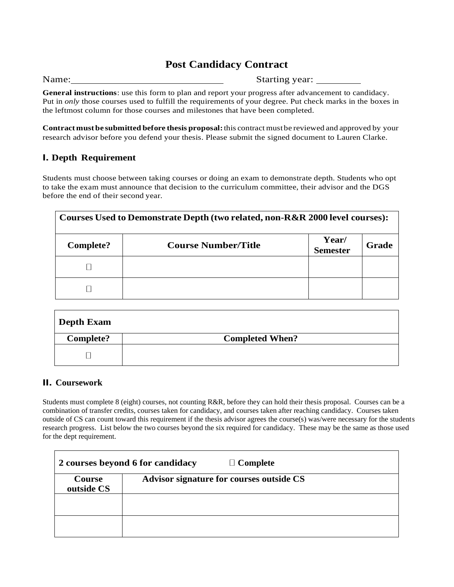# **Post Candidacy Contract**

Name: Starting year:

**General instructions**: use this form to plan and report your progress after advancement to candidacy. Put in *only* those courses used to fulfill the requirements of your degree. Put check marks in the boxes in the leftmost column for those courses and milestones that have been completed.

**Contract must be submittedbefore thesis proposal:**this contract mustbe reviewed and approved by your research advisor before you defend your thesis. Please submit the signed document to Lauren Clarke.

## **I. Depth Requirement**

Students must choose between taking courses or doing an exam to demonstrate depth. Students who opt to take the exam must announce that decision to the curriculum committee, their advisor and the DGS before the end of their second year.

| Courses Used to Demonstrate Depth (two related, non-R&R 2000 level courses): |                            |                          |       |  |  |  |  |
|------------------------------------------------------------------------------|----------------------------|--------------------------|-------|--|--|--|--|
| Complete?                                                                    | <b>Course Number/Title</b> | Year/<br><b>Semester</b> | Grade |  |  |  |  |
|                                                                              |                            |                          |       |  |  |  |  |
|                                                                              |                            |                          |       |  |  |  |  |

| Depth Exam |                        |
|------------|------------------------|
| Complete?  | <b>Completed When?</b> |
|            |                        |

## **II. Coursework**

Students must complete 8 (eight) courses, not counting R&R, before they can hold their thesis proposal. Courses can be a combination of transfer credits, courses taken for candidacy, and courses taken after reaching candidacy. Courses taken outside of CS can count toward this requirement if the thesis advisor agrees the course(s) was/were necessary for the students research progress. List below the two courses beyond the six required for candidacy. These may be the same as those used for the dept requirement.

|                      | 2 courses beyond 6 for candidacy<br>$\Box$ Complete |
|----------------------|-----------------------------------------------------|
| Course<br>outside CS | Advisor signature for courses outside CS            |
|                      |                                                     |
|                      |                                                     |